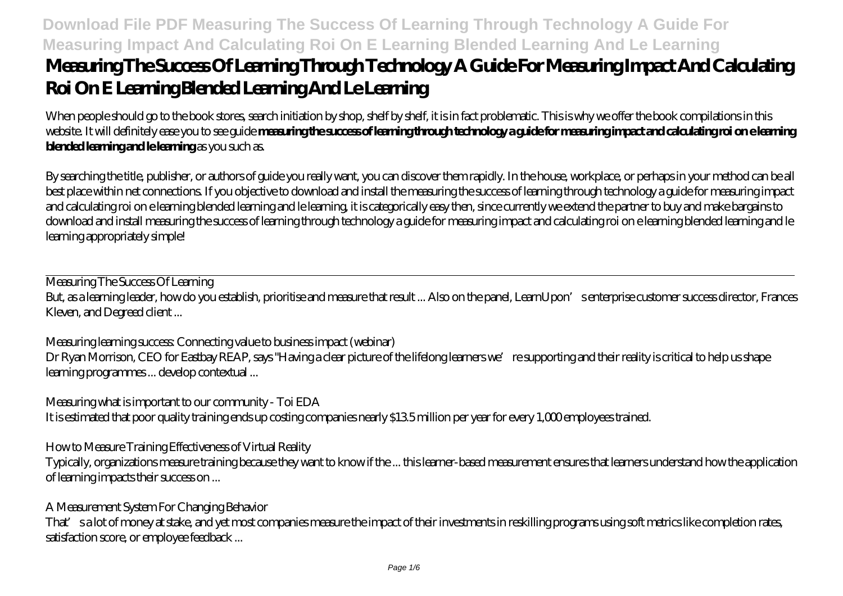# **Download File PDF Measuring The Success Of Learning Through Technology A Guide For Measuring Impact And Calculating Roi On E Learning Blended Learning And Le Learning Measuring The Success Of Learning Through Technology A Guide For Measuring Impact And Calculating Roi On E Learning Blended Learning And Le Learning**

When people should go to the book stores, search initiation by shop, shelf by shelf, it is in fact problematic. This is why we offer the book compilations in this website. It will definitely ease you to see guide **measuring the success of learning through technology a guide for measuring impact and calculating roi on e learning blended learning and le learning** as you such as.

By searching the title, publisher, or authors of guide you really want, you can discover them rapidly. In the house, workplace, or perhaps in your method can be all best place within net connections. If you objective to download and install the measuring the success of learning through technology a guide for measuring impact and calculating roi on e learning blended learning and le learning, it is categorically easy then, since currently we extend the partner to buy and make bargains to download and install measuring the success of learning through technology a guide for measuring impact and calculating roi on e learning blended learning and le learning appropriately simple!

Measuring The Success Of Learning But, as a learning leader, how do you establish, prioritise and measure that result ... Also on the panel, LearnUpon's enterprise customer success director, Frances Kleven, and Degreed client ...

Measuring learning success: Connecting value to business impact (webinar) Dr Ryan Morrison, CEO for Eastbay REAP, says "Having a clear picture of the lifelong learners we're supporting and their reality is critical to help us shape learning programmes ... develop contextual ...

Measuring what is important to our community - Toi EDA

It is estimated that poor quality training ends up costing companies nearly \$13.5 million per year for every 1,000 employees trained.

How to Measure Training Effectiveness of Virtual Reality

Typically, organizations measure training because they want to know if the ... this learner-based measurement ensures that learners understand how the application of learning impacts their success on ...

A Measurement System For Changing Behavior

That' sa lot of money at stake, and yet most companies measure the impact of their investments in reskilling programs using soft metrics like completion rates, satisfaction score, or employee feedback ...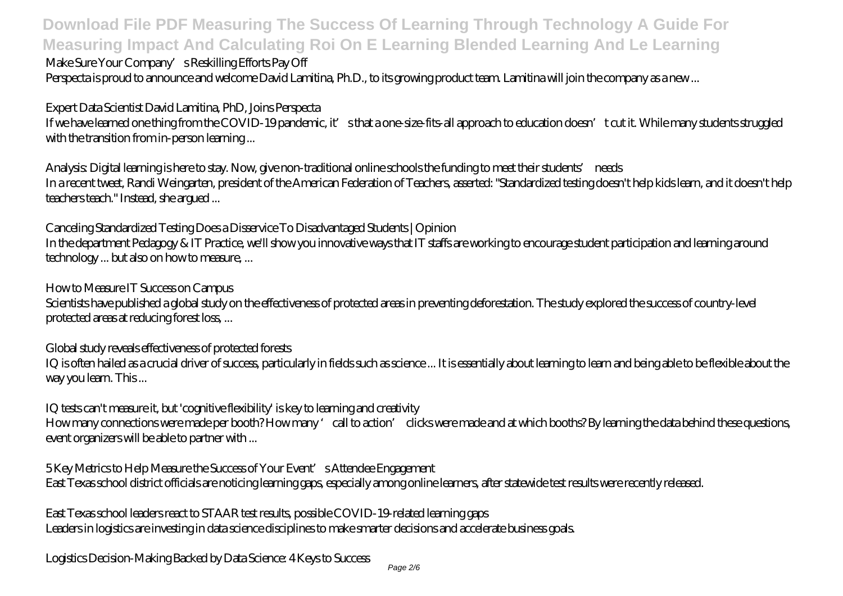#### Make Sure Your Company's Reskilling Efforts Pay Off

Perspecta is proud to announce and welcome David Lamitina, Ph.D., to its growing product team. Lamitina will join the company as a new ...

#### Expert Data Scientist David Lamitina, PhD, Joins Perspecta

If we have learned one thing from the COVID-19 pandemic, it' sthat a one-size-fits-all approach to education doesn't cut it. While many students struggled with the transition from in-person learning ...

Analysis: Digital learning is here to stay. Now, give non-traditional online schools the funding to meet their students' needs In a recent tweet, Randi Weingarten, president of the American Federation of Teachers, asserted: "Standardized testing doesn't help kids learn, and it doesn't help teachers teach." Instead, she argued ...

Canceling Standardized Testing Does a Disservice To Disadvantaged Students | Opinion In the department Pedagogy & IT Practice, we'll show you innovative ways that IT staffs are working to encourage student participation and learning around technology ... but also on how to measure, ...

How to Measure IT Success on Campus

Scientists have published a global study on the effectiveness of protected areas in preventing deforestation. The study explored the success of country-level protected areas at reducing forest loss, ...

Global study reveals effectiveness of protected forests

IQ is often hailed as a crucial driver of success, particularly in fields such as science ... It is essentially about learning to learn and being able to be flexible about the way you learn. This ...

IQ tests can't measure it, but 'cognitive flexibility' is key to learning and creativity

How many connections were made per booth? How many 'call to action' clicks were made and at which booths? By learning the data behind these questions, event organizers will be able to partner with ...

5 Key Metrics to Help Measure the Success of Your Event's Attendee Engagement East Texas school district officials are noticing learning gaps, especially among online learners, after statewide test results were recently released.

East Texas school leaders react to STAAR test results, possible COVID-19-related learning gaps Leaders in logistics are investing in data science disciplines to make smarter decisions and accelerate business goals.

Logistics Decision-Making Backed by Data Science: 4 Keys to Success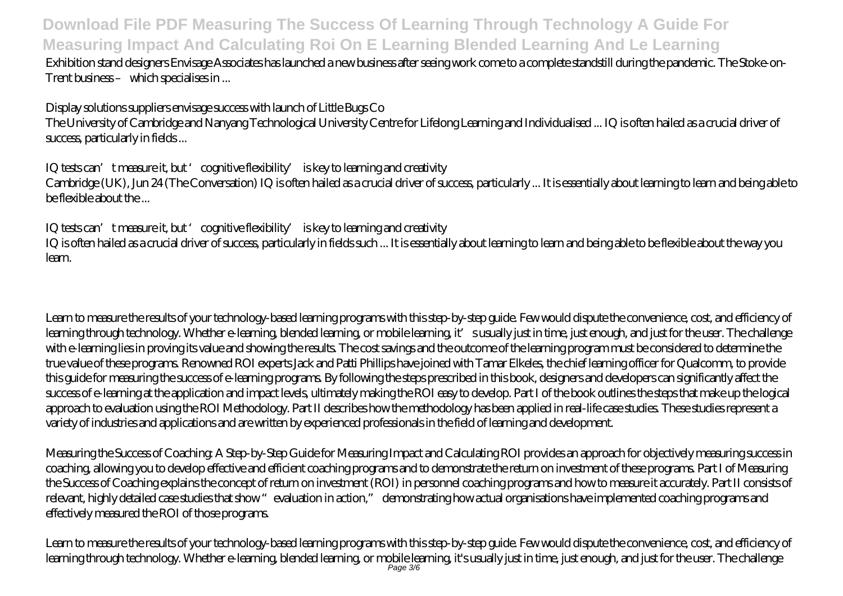Exhibition stand designers Envisage Associates has launched a new business after seeing work come to a complete standstill during the pandemic. The Stoke-on-Trent business – which specialises in ...

Display solutions suppliers envisage success with launch of Little Bugs Co

The University of Cambridge and Nanyang Technological University Centre for Lifelong Learning and Individualised ... IQ is often hailed as a crucial driver of success, particularly in fields ...

IQ tests can't measure it, but 'cognitive flexibility' is key to learning and creativity Cambridge (UK), Jun 24 (The Conversation) IQ is often hailed as a crucial driver of success, particularly ... It is essentially about learning to learn and being able to be flexible about the ...

IQ tests can't measure it, but 'cognitive flexibility' is key to learning and creativity IQ is often hailed as a crucial driver of success, particularly in fields such ... It is essentially about learning to learn and being able to be flexible about the way you learn.

Learn to measure the results of your technology-based learning programs with this step-by-step guide. Few would dispute the convenience, cost, and efficiency of learning through technology. Whether e-learning, blended learning, or mobile learning, it's usually just in time, just enough, and just for the user. The challenge with e-learning lies in proving its value and showing the results. The cost savings and the outcome of the learning program must be considered to determine the true value of these programs. Renowned ROI experts Jack and Patti Phillips have joined with Tamar Elkeles, the chief learning officer for Qualcomm, to provide this guide for measuring the success of e-learning programs. By following the steps prescribed in this book, designers and developers can significantly affect the success of e-learning at the application and impact levels, ultimately making the ROI easy to develop. Part I of the book outlines the steps that make up the logical approach to evaluation using the ROI Methodology. Part II describes how the methodology has been applied in real-life case studies. These studies represent a variety of industries and applications and are written by experienced professionals in the field of learning and development.

*Measuring the Success of Coaching: A Step-by-Step Guide for Measuring Impact and Calculating ROI* provides an approach for objectively measuring success in coaching, allowing you to develop effective and efficient coaching programs and to demonstrate the return on investment of these programs. Part I of Measuring the Success of Coaching explains the concept of return on investment (ROI) in personnel coaching programs and how to measure it accurately. Part II consists of relevant, highly detailed case studies that show "evaluation in action," demonstrating how actual organisations have implemented coaching programs and effectively measured the ROI of those programs.

Learn to measure the results of your technology-based learning programs with this step-by-step guide. Few would dispute the convenience, cost, and efficiency of learning through technology. Whether e-learning, blended learning, or mobile learning, it's usually just in time, just enough, and just for the user. The challenge Page 3/6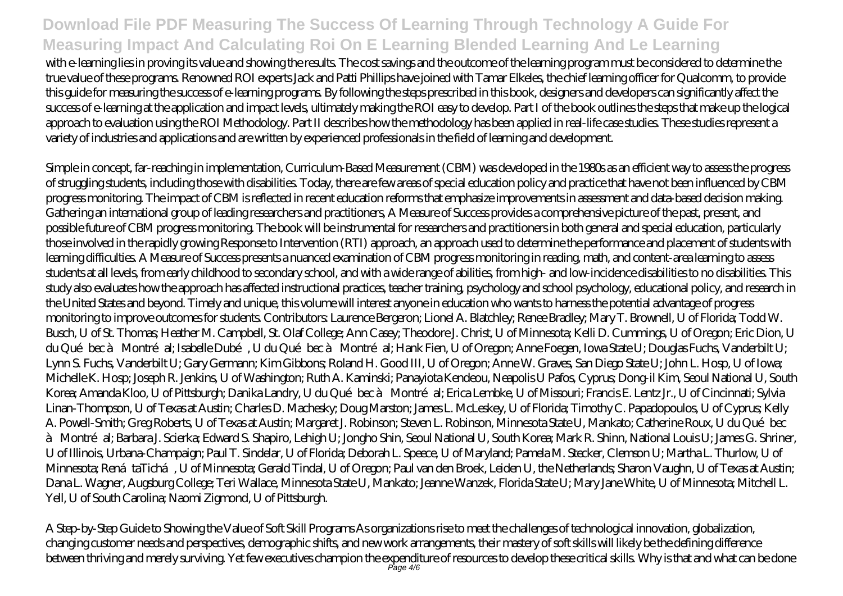with e-learning lies in proving its value and showing the results. The cost savings and the outcome of the learning program must be considered to determine the true value of these programs. Renowned ROI experts Jack and Patti Phillips have joined with Tamar Elkeles, the chief learning officer for Qualcomm, to provide this guide for measuring the success of e-learning programs. By following the steps prescribed in this book, designers and developers can significantly affect the success of e-learning at the application and impact levels, ultimately making the ROI easy to develop. Part I of the book outlines the steps that make up the logical approach to evaluation using the ROI Methodology. Part II describes how the methodology has been applied in real-life case studies. These studies represent a variety of industries and applications and are written by experienced professionals in the field of learning and development.

Simple in concept, far-reaching in implementation, Curriculum-Based Measurement (CBM) was developed in the 1980s as an efficient way to assess the progress of struggling students, including those with disabilities. Today, there are few areas of special education policy and practice that have not been influenced by CBM progress monitoring. The impact of CBM is reflected in recent education reforms that emphasize improvements in assessment and data-based decision making. Gathering an international group of leading researchers and practitioners, A Measure of Success provides a comprehensive picture of the past, present, and possible future of CBM progress monitoring. The book will be instrumental for researchers and practitioners in both general and special education, particularly those involved in the rapidly growing Response to Intervention (RTI) approach, an approach used to determine the performance and placement of students with learning difficulties. A Measure of Success presents a nuanced examination of CBM progress monitoring in reading, math, and content-area learning to assess students at all levels, from early childhood to secondary school, and with a wide range of abilities, from high- and low-incidence disabilities to no disabilities. This study also evaluates how the approach has affected instructional practices, teacher training, psychology and school psychology, educational policy, and research in the United States and beyond. Timely and unique, this volume will interest anyone in education who wants to harness the potential advantage of progress monitoring to improve outcomes for students. Contributors: Laurence Bergeron; Lionel A. Blatchley; Renee Bradley; Mary T. Brownell, U of Florida; Todd W. Busch, U of St. Thomas; Heather M. Campbell, St. Olaf College; Ann Casey; Theodore J. Christ, U of Minnesota; Kelli D. Cummings, U of Oregon; Eric Dion, U du Québec à Montréal; Isabelle Dubé, U du Québec à Montréal; Hank Fien, U of Oregon; Anne Foegen, Iowa State U; Douglas Fuchs, Vanderbilt U; Lynn S. Fuchs, Vanderbilt U; Gary Germann; Kim Gibbons; Roland H. Good III, U of Oregon; Anne W. Graves, San Diego State U; John L. Hosp, U of Iowa; Michelle K. Hosp; Joseph R. Jenkins, U of Washington; Ruth A. Kaminski; Panayiota Kendeou, Neapolis U Pafos, Cyprus; Dong-il Kim, Seoul National U, South Korea; Amanda Kloo, U of Pittsburgh; Danika Landry, U du Québec à Montréal; Erica Lembke, U of Missouri; Francis E. Lentz Jr., U of Cincinnati; Sylvia Linan-Thompson, U of Texas at Austin; Charles D. Machesky; Doug Marston; James L. McLeskey, U of Florida; Timothy C. Papadopoulos, U of Cyprus; Kelly A. Powell-Smith; Greg Roberts, U of Texas at Austin; Margaret J. Robinson; Steven L. Robinson, Minnesota State U, Mankato; Catherine Roux, U du Québec à Montré al; Barbara J. Scierka; Edward S. Shapiro, Lehigh U; Jongho Shin, Seoul National U, South Korea; Mark R. Shinn, National Louis U; James G. Shriner, U of Illinois, Urbana-Champaign; Paul T. Sindelar, U of Florida; Deborah L. Speece, U of Maryland; Pamela M. Stecker, Clemson U; Martha L. Thurlow, U of Minnesota; RenátaTichá, U of Minnesota; Gerald Tindal, U of Oregon; Paul van den Broek, Leiden U, the Netherlands; Sharon Vaughn, U of Texas at Austin; Dana L. Wagner, Augsburg College; Teri Wallace, Minnesota State U, Mankato; Jeanne Wanzek, Florida State U; Mary Jane White, U of Minnesota; Mitchell L. Yell, U of South Carolina; Naomi Zigmond, U of Pittsburgh.

A Step-by-Step Guide to Showing the Value of Soft Skill Programs As organizations rise to meet the challenges of technological innovation, globalization, changing customer needs and perspectives, demographic shifts, and new work arrangements, their mastery of soft skills will likely be the defining difference between thriving and merely surviving. Yet few executives champion the expenditure of resources to develop these critical skills. Why is that and what can be done Page 4/6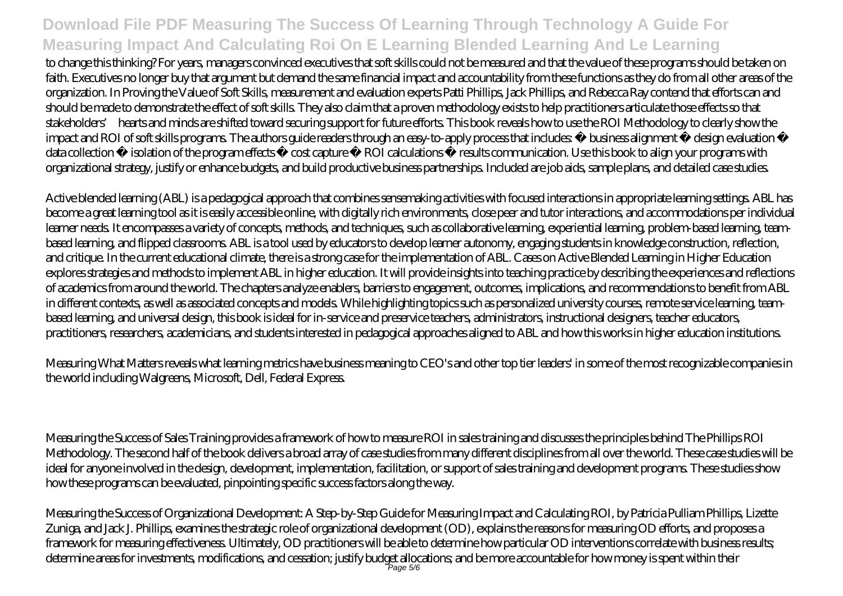to change this thinking? For years, managers convinced executives that soft skills could not be measured and that the value of these programs should be taken on faith. Executives no longer buy that argument but demand the same financial impact and accountability from these functions as they do from all other areas of the organization. In Proving the Value of Soft Skills, measurement and evaluation experts Patti Phillips, Jack Phillips, and Rebecca Ray contend that efforts can and should be made to demonstrate the effect of soft skills. They also claim that a proven methodology exists to help practitioners articulate those effects so that stakeholders' hearts and minds are shifted toward securing support for future efforts. This book reveals how to use the ROI Methodology to clearly show the impact and ROI of soft skills programs. The authors guide readers through an easy-to-apply process that includes • business alignment • design evaluation • data collection • isolation of the program effects • cost capture • ROI calculations • results communication. Use this book to align your programs with organizational strategy, justify or enhance budgets, and build productive business partnerships. Included are job aids, sample plans, and detailed case studies.

Active blended learning (ABL) is a pedagogical approach that combines sensemaking activities with focused interactions in appropriate learning settings. ABL has become a great learning tool as it is easily accessible online, with digitally rich environments, close peer and tutor interactions, and accommodations per individual learner needs. It encompasses a variety of concepts, methods, and techniques, such as collaborative learning, experiential learning, problem-based learning, teambased learning, and flipped classrooms. ABL is a tool used by educators to develop learner autonomy, engaging students in knowledge construction, reflection, and critique. In the current educational climate, there is a strong case for the implementation of ABL. Cases on Active Blended Learning in Higher Education explores strategies and methods to implement ABL in higher education. It will provide insights into teaching practice by describing the experiences and reflections of academics from around the world. The chapters analyze enablers, barriers to engagement, outcomes, implications, and recommendations to benefit from ABL in different contexts, as well as associated concepts and models. While highlighting topics such as personalized university courses, remote service learning, teambased learning, and universal design, this book is ideal for in-service and preservice teachers, administrators, instructional designers, teacher educators, practitioners, researchers, academicians, and students interested in pedagogical approaches aligned to ABL and how this works in higher education institutions.

Measuring What Matters reveals what learning metrics have business meaning to CEO's and other top tier leaders' in some of the most recognizable companies in the world including Walgreens, Microsoft, Dell, Federal Express.

Measuring the Success of Sales Training provides a framework of how to measure ROI in sales training and discusses the principles behind The Phillips ROI Methodology. The second half of the book delivers a broad array of case studies from many different disciplines from all over the world. These case studies will be ideal for anyone involved in the design, development, implementation, facilitation, or support of sales training and development programs. These studies show how these programs can be evaluated, pinpointing specific success factors along the way.

Measuring the Success of Organizational Development: A Step-by-Step Guide for Measuring Impact and Calculating ROI, by Patricia Pulliam Phillips, Lizette Zuniga, and Jack J. Phillips, examines the strategic role of organizational development (OD), explains the reasons for measuring OD efforts, and proposes a framework for measuring effectiveness. Ultimately, OD practitioners will be able to determine how particular OD interventions correlate with business results; determine areas for investments, modifications, and cessation; justify budget allocations; and be more accountable for how money is spent within their Page 5/6